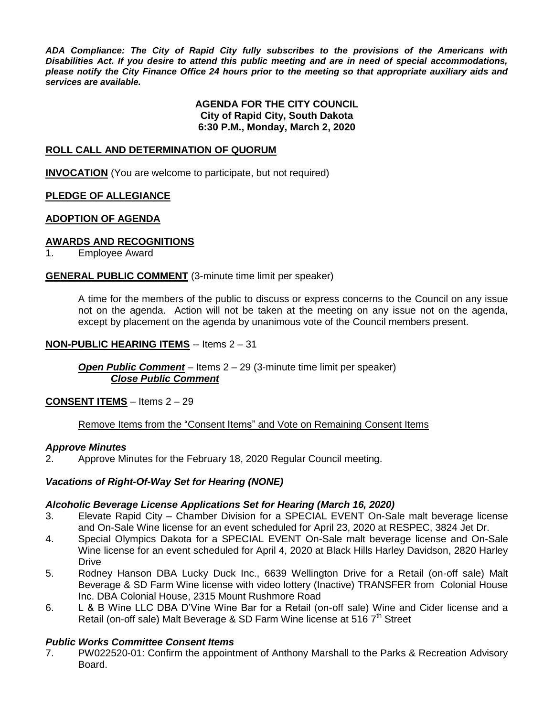*ADA Compliance: The City of Rapid City fully subscribes to the provisions of the Americans with Disabilities Act. If you desire to attend this public meeting and are in need of special accommodations, please notify the City Finance Office 24 hours prior to the meeting so that appropriate auxiliary aids and services are available.*

#### **AGENDA FOR THE CITY COUNCIL City of Rapid City, South Dakota 6:30 P.M., Monday, March 2, 2020**

### **ROLL CALL AND DETERMINATION OF QUORUM**

**INVOCATION** (You are welcome to participate, but not required)

### **PLEDGE OF ALLEGIANCE**

#### **ADOPTION OF AGENDA**

#### **AWARDS AND RECOGNITIONS**

1. Employee Award

#### **GENERAL PUBLIC COMMENT** (3-minute time limit per speaker)

A time for the members of the public to discuss or express concerns to the Council on any issue not on the agenda. Action will not be taken at the meeting on any issue not on the agenda, except by placement on the agenda by unanimous vote of the Council members present.

#### **NON-PUBLIC HEARING ITEMS** -- Items 2 – 31

*Open Public Comment* – Items 2 – 29 (3-minute time limit per speaker) *Close Public Comment*

**CONSENT ITEMS** – Items 2 – 29

#### Remove Items from the "Consent Items" and Vote on Remaining Consent Items

#### *Approve Minutes*

2. Approve Minutes for the February 18, 2020 Regular Council meeting.

#### *Vacations of Right-Of-Way Set for Hearing (NONE)*

#### *Alcoholic Beverage License Applications Set for Hearing (March 16, 2020)*

- 3. Elevate Rapid City Chamber Division for a SPECIAL EVENT On-Sale malt beverage license and On-Sale Wine license for an event scheduled for April 23, 2020 at RESPEC, 3824 Jet Dr.
- 4. Special Olympics Dakota for a SPECIAL EVENT On-Sale malt beverage license and On-Sale Wine license for an event scheduled for April 4, 2020 at Black Hills Harley Davidson, 2820 Harley **Drive**
- 5. Rodney Hanson DBA Lucky Duck Inc., 6639 Wellington Drive for a Retail (on-off sale) Malt Beverage & SD Farm Wine license with video lottery (Inactive) TRANSFER from Colonial House Inc. DBA Colonial House, 2315 Mount Rushmore Road
- 6. L & B Wine LLC DBA D'Vine Wine Bar for a Retail (on-off sale) Wine and Cider license and a Retail (on-off sale) Malt Beverage & SD Farm Wine license at 516 7<sup>th</sup> Street

# *Public Works Committee Consent Items*

7. PW022520-01: Confirm the appointment of Anthony Marshall to the Parks & Recreation Advisory Board.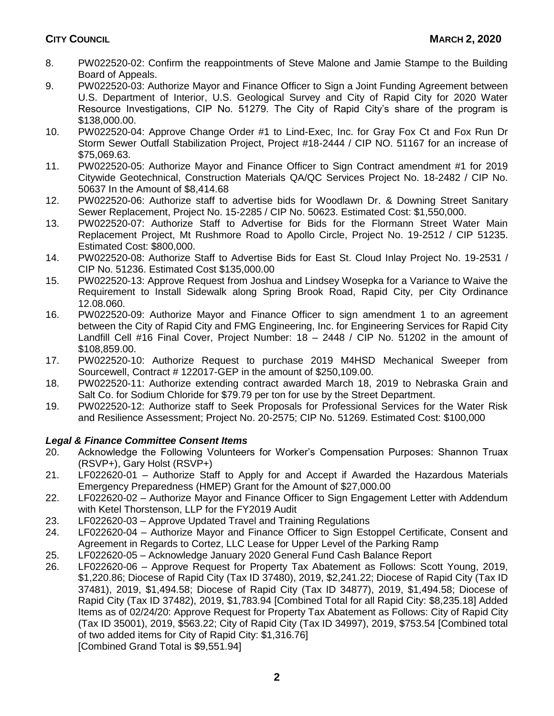- 8. PW022520-02: Confirm the reappointments of Steve Malone and Jamie Stampe to the Building Board of Appeals.
- 9. PW022520-03: Authorize Mayor and Finance Officer to Sign a Joint Funding Agreement between U.S. Department of Interior, U.S. Geological Survey and City of Rapid City for 2020 Water Resource Investigations, CIP No. 51279. The City of Rapid City's share of the program is \$138,000.00.
- 10. PW022520-04: Approve Change Order #1 to Lind-Exec, Inc. for Gray Fox Ct and Fox Run Dr Storm Sewer Outfall Stabilization Project, Project #18-2444 / CIP NO. 51167 for an increase of \$75,069.63.
- 11. PW022520-05: Authorize Mayor and Finance Officer to Sign Contract amendment #1 for 2019 Citywide Geotechnical, Construction Materials QA/QC Services Project No. 18-2482 / CIP No. 50637 In the Amount of \$8,414.68
- 12. PW022520-06: Authorize staff to advertise bids for Woodlawn Dr. & Downing Street Sanitary Sewer Replacement, Project No. 15-2285 / CIP No. 50623. Estimated Cost: \$1,550,000.
- 13. PW022520-07: Authorize Staff to Advertise for Bids for the Flormann Street Water Main Replacement Project, Mt Rushmore Road to Apollo Circle, Project No. 19-2512 / CIP 51235. Estimated Cost: \$800,000.
- 14. PW022520-08: Authorize Staff to Advertise Bids for East St. Cloud Inlay Project No. 19-2531 / CIP No. 51236. Estimated Cost \$135,000.00
- 15. PW022520-13: Approve Request from Joshua and Lindsey Wosepka for a Variance to Waive the Requirement to Install Sidewalk along Spring Brook Road, Rapid City, per City Ordinance 12.08.060.
- 16. PW022520-09: Authorize Mayor and Finance Officer to sign amendment 1 to an agreement between the City of Rapid City and FMG Engineering, Inc. for Engineering Services for Rapid City Landfill Cell #16 Final Cover, Project Number: 18 – 2448 / CIP No. 51202 in the amount of \$108,859.00.
- 17. PW022520-10: Authorize Request to purchase 2019 M4HSD Mechanical Sweeper from Sourcewell, Contract # 122017-GEP in the amount of \$250,109.00.
- 18. PW022520-11: Authorize extending contract awarded March 18, 2019 to Nebraska Grain and Salt Co. for Sodium Chloride for \$79.79 per ton for use by the Street Department.
- 19. PW022520-12: Authorize staff to Seek Proposals for Professional Services for the Water Risk and Resilience Assessment; Project No. 20-2575; CIP No. 51269. Estimated Cost: \$100,000

# *Legal & Finance Committee Consent Items*

- 20. Acknowledge the Following Volunteers for Worker's Compensation Purposes: Shannon Truax (RSVP+), Gary Holst (RSVP+)
- 21. LF022620-01 Authorize Staff to Apply for and Accept if Awarded the Hazardous Materials Emergency Preparedness (HMEP) Grant for the Amount of \$27,000.00
- 22. LF022620-02 Authorize Mayor and Finance Officer to Sign Engagement Letter with Addendum with Ketel Thorstenson, LLP for the FY2019 Audit
- 23. LF022620-03 Approve Updated Travel and Training Regulations
- 24. LF022620-04 Authorize Mayor and Finance Officer to Sign Estoppel Certificate, Consent and Agreement in Regards to Cortez, LLC Lease for Upper Level of the Parking Ramp
- 25. LF022620-05 Acknowledge January 2020 General Fund Cash Balance Report
- 26. LF022620-06 Approve Request for Property Tax Abatement as Follows: Scott Young, 2019, \$1,220.86; Diocese of Rapid City (Tax ID 37480), 2019, \$2,241.22; Diocese of Rapid City (Tax ID 37481), 2019, \$1,494.58; Diocese of Rapid City (Tax ID 34877), 2019, \$1,494.58; Diocese of Rapid City (Tax ID 37482), 2019, \$1,783.94 [Combined Total for all Rapid City: \$8,235.18] Added Items as of 02/24/20: Approve Request for Property Tax Abatement as Follows: City of Rapid City (Tax ID 35001), 2019, \$563.22; City of Rapid City (Tax ID 34997), 2019, \$753.54 [Combined total of two added items for City of Rapid City: \$1,316.76] [Combined Grand Total is \$9,551.94]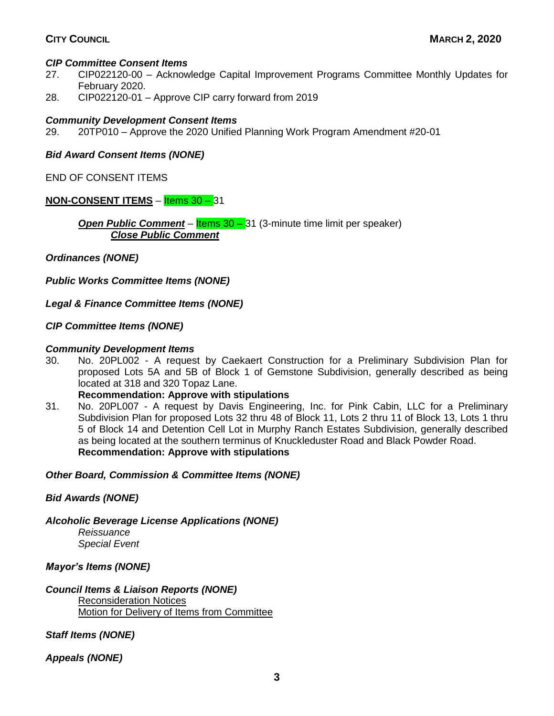# *CIP Committee Consent Items*

- 27. CIP022120-00 Acknowledge Capital Improvement Programs Committee Monthly Updates for February 2020.
- 28. CIP022120-01 Approve CIP carry forward from 2019

#### *Community Development Consent Items*

29. 20TP010 – Approve the 2020 Unified Planning Work Program Amendment #20-01

*Bid Award Consent Items (NONE)*

END OF CONSENT ITEMS

### **NON-CONSENT ITEMS** – **Items 30 – 31**

**Open Public Comment** – **Items 30 – 31** (3-minute time limit per speaker) *Close Public Comment*

*Ordinances (NONE)*

*Public Works Committee Items (NONE)*

*Legal & Finance Committee Items (NONE)*

### *CIP Committee Items (NONE)*

#### *Community Development Items*

30. No. 20PL002 - A request by Caekaert Construction for a Preliminary Subdivision Plan for proposed Lots 5A and 5B of Block 1 of Gemstone Subdivision, generally described as being located at 318 and 320 Topaz Lane.

# **Recommendation: Approve with stipulations**

31. No. 20PL007 - A request by Davis Engineering, Inc. for Pink Cabin, LLC for a Preliminary Subdivision Plan for proposed Lots 32 thru 48 of Block 11, Lots 2 thru 11 of Block 13, Lots 1 thru 5 of Block 14 and Detention Cell Lot in Murphy Ranch Estates Subdivision, generally described as being located at the southern terminus of Knuckleduster Road and Black Powder Road. **Recommendation: Approve with stipulations**

#### *Other Board, Commission & Committee Items (NONE)*

# *Bid Awards (NONE)*

*Alcoholic Beverage License Applications (NONE)*

*Reissuance Special Event*

*Mayor's Items (NONE)*

# *Council Items & Liaison Reports (NONE)*

Reconsideration Notices Motion for Delivery of Items from Committee

*Staff Items (NONE)*

*Appeals (NONE)*